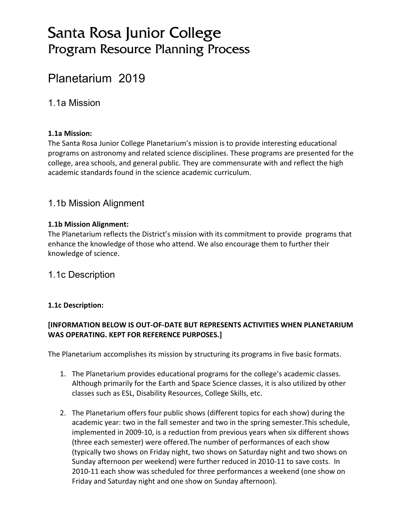# Santa Rosa Junior College Program Resource Planning Process

# Planetarium 2019

1.1a Mission

#### **1.1a Mission:**

The Santa Rosa Junior College Planetarium's mission is to provide interesting educational programs on astronomy and related science disciplines. These programs are presented for the college, area schools, and general public. They are commensurate with and reflect the high academic standards found in the science academic curriculum.

#### 1.1b Mission Alignment

#### **1.1b Mission Alignment:**

The Planetarium reflects the District's mission with its commitment to provide programs that enhance the knowledge of those who attend. We also encourage them to further their knowledge of science.

#### 1.1c Description

#### **1.1c Description:**

#### **[INFORMATION BELOW IS OUT-OF-DATE BUT REPRESENTS ACTIVITIES WHEN PLANETARIUM WAS OPERATING. KEPT FOR REFERENCE PURPOSES.]**

The Planetarium accomplishes its mission by structuring its programs in five basic formats.

- 1. The Planetarium provides educational programs for the college's academic classes. Although primarily for the Earth and Space Science classes, it is also utilized by other classes such as ESL, Disability Resources, College Skills, etc.
- 2. The Planetarium offers four public shows (different topics for each show) during the academic year: two in the fall semester and two in the spring semester.This schedule, implemented in 2009-10, is a reduction from previous years when six different shows (three each semester) were offered.The number of performances of each show (typically two shows on Friday night, two shows on Saturday night and two shows on Sunday afternoon per weekend) were further reduced in 2010-11 to save costs. In 2010-11 each show was scheduled for three performances a weekend (one show on Friday and Saturday night and one show on Sunday afternoon).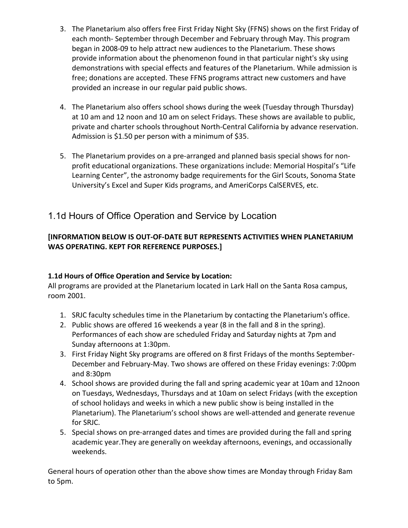- 3. The Planetarium also offers free First Friday Night Sky (FFNS) shows on the first Friday of each month- September through December and February through May. This program began in 2008-09 to help attract new audiences to the Planetarium. These shows provide information about the phenomenon found in that particular night's sky using demonstrations with special effects and features of the Planetarium. While admission is free; donations are accepted. These FFNS programs attract new customers and have provided an increase in our regular paid public shows.
- 4. The Planetarium also offers school shows during the week (Tuesday through Thursday) at 10 am and 12 noon and 10 am on select Fridays. These shows are available to public, private and charter schools throughout North-Central California by advance reservation. Admission is \$1.50 per person with a minimum of \$35.
- 5. The Planetarium provides on a pre-arranged and planned basis special shows for nonprofit educational organizations. These organizations include: Memorial Hospital's "Life Learning Center", the astronomy badge requirements for the Girl Scouts, Sonoma State University's Excel and Super Kids programs, and AmeriCorps CalSERVES, etc.

## 1.1d Hours of Office Operation and Service by Location

#### **[INFORMATION BELOW IS OUT-OF-DATE BUT REPRESENTS ACTIVITIES WHEN PLANETARIUM WAS OPERATING. KEPT FOR REFERENCE PURPOSES.]**

#### **1.1d Hours of Office Operation and Service by Location:**

All programs are provided at the Planetarium located in Lark Hall on the Santa Rosa campus, room 2001.

- 1. SRJC faculty schedules time in the Planetarium by contacting the Planetarium's office.
- 2. Public shows are offered 16 weekends a year (8 in the fall and 8 in the spring). Performances of each show are scheduled Friday and Saturday nights at 7pm and Sunday afternoons at 1:30pm.
- 3. First Friday Night Sky programs are offered on 8 first Fridays of the months September-December and February-May. Two shows are offered on these Friday evenings: 7:00pm and 8:30pm
- 4. School shows are provided during the fall and spring academic year at 10am and 12noon on Tuesdays, Wednesdays, Thursdays and at 10am on select Fridays (with the exception of school holidays and weeks in which a new public show is being installed in the Planetarium). The Planetarium's school shows are well-attended and generate revenue for SRJC.
- 5. Special shows on pre-arranged dates and times are provided during the fall and spring academic year.They are generally on weekday afternoons, evenings, and occassionally weekends.

General hours of operation other than the above show times are Monday through Friday 8am to 5pm.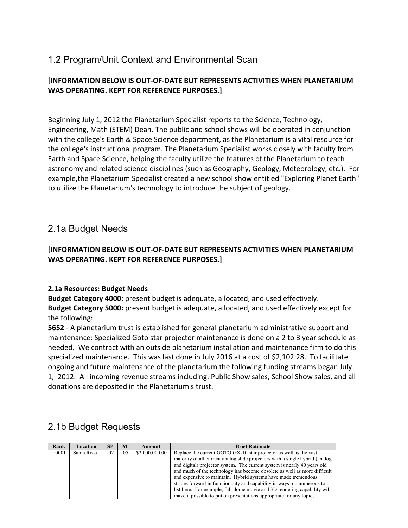## 1.2 Program/Unit Context and Environmental Scan

#### **[INFORMATION BELOW IS OUT-OF-DATE BUT REPRESENTS ACTIVITIES WHEN PLANETARIUM WAS OPERATING. KEPT FOR REFERENCE PURPOSES.]**

Beginning July 1, 2012 the Planetarium Specialist reports to the Science, Technology, Engineering, Math (STEM) Dean. The public and school shows will be operated in conjunction with the college's Earth & Space Science department, as the Planetarium is a vital resource for the college's instructional program. The Planetarium Specialist works closely with faculty from Earth and Space Science, helping the faculty utilize the features of the Planetarium to teach astronomy and related science disciplines (such as Geography, Geology, Meteorology, etc.). For example,the Planetarium Specialist created a new school show entitled "Exploring Planet Earth" to utilize the Planetarium's technology to introduce the subject of geology.

#### 2.1a Budget Needs

#### **[INFORMATION BELOW IS OUT-OF-DATE BUT REPRESENTS ACTIVITIES WHEN PLANETARIUM WAS OPERATING. KEPT FOR REFERENCE PURPOSES.]**

#### **2.1a Resources: Budget Needs**

**Budget Category 4000:** present budget is adequate, allocated, and used effectively. **Budget Category 5000:** present budget is adequate, allocated, and used effectively except for the following:

**5652** - A planetarium trust is established for general planetarium administrative support and maintenance: Specialized Goto star projector maintenance is done on a 2 to 3 year schedule as needed. We contract with an outside planetarium installation and maintenance firm to do this specialized maintenance. This was last done in July 2016 at a cost of \$2,102.28. To facilitate ongoing and future maintenance of the planetarium the following funding streams began July 1, 2012. All incoming revenue streams including: Public Show sales, School Show sales, and all donations are deposited in the Planetarium's trust.

#### 2.1b Budget Requests

| Rank | Location   | <b>SP</b> | M  | Amount         | <b>Brief Rationale</b>                                                       |  |  |  |
|------|------------|-----------|----|----------------|------------------------------------------------------------------------------|--|--|--|
| 0001 | Santa Rosa | 02        | 05 | \$2,000,000.00 | Replace the current GOTO GX-10 star projector as well as the vast            |  |  |  |
|      |            |           |    |                | majority of all current analog slide projectors with a single hybrid (analog |  |  |  |
|      |            |           |    |                | and digital) projector system. The current system is nearly 40 years old     |  |  |  |
|      |            |           |    |                | and much of the technology has become obsolete as well as more difficult     |  |  |  |
|      |            |           |    |                | and expensive to maintain. Hybrid systems have made tremendous               |  |  |  |
|      |            |           |    |                | strides forward in functionality and capability in ways too numerous to      |  |  |  |
|      |            |           |    |                | list here. For example, full-dome movie and 3D rendering capability will     |  |  |  |
|      |            |           |    |                | make it possible to put on presentations appropriate for any topic,          |  |  |  |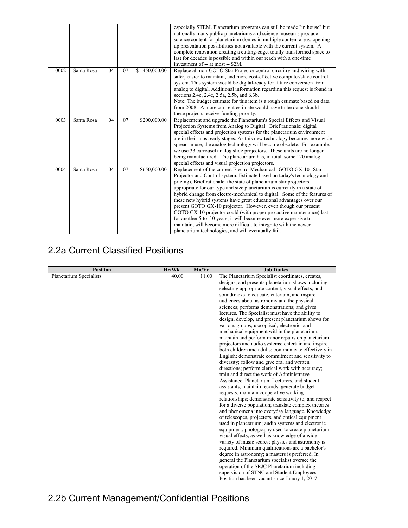|      |            |    |    |                | especially STEM. Planetarium programs can still be made "in house" but<br>nationally many public planetariums and science museums produce<br>science content for planetarium domes in multiple content areas, opening<br>up presentation possibilities not available with the current system. A<br>complete renovation creating a cutting-edge, totally transformed space to<br>last for decades is possible and within our reach with a one-time<br>investment of -- at most -- \$2M.                                                                                                                                                                                                                                                                                                    |
|------|------------|----|----|----------------|-------------------------------------------------------------------------------------------------------------------------------------------------------------------------------------------------------------------------------------------------------------------------------------------------------------------------------------------------------------------------------------------------------------------------------------------------------------------------------------------------------------------------------------------------------------------------------------------------------------------------------------------------------------------------------------------------------------------------------------------------------------------------------------------|
| 0002 | Santa Rosa | 04 | 07 | \$1,450,000.00 | Replace all non-GOTO Star Projector control circuitry and wiring with<br>safer, easier to maintain, and more cost-effective computer/slave control<br>system. This system would be digital-ready for future conversion from<br>analog to digital. Additional information regarding this request is found in<br>sections 2.4c, 2.4e, 2.5a, 2.5b, and 6.3b.<br>Note: The budget estimate for this item is a rough estimate based on data<br>from 2008. A more currrent estimate would have to be done should<br>these projects receive funding priority.                                                                                                                                                                                                                                    |
| 0003 | Santa Rosa | 04 | 07 | \$200,000.00   | Replacement and upgrade the Planetarium's Special Effects and Visual<br>Projection Systems from Analog to Digital. Brief rationale: digital<br>special effects and projection systems for the planetarium environment<br>are in their most early stages. As this new technology becomes more wide<br>spread in use, the analog technology will become obsolete. For example:<br>we use 33 carrousel analog slide projectors. These units are no longer<br>being manufactured. The planetarium has, in total, some 120 analog<br>special effects and visual projection projectors.                                                                                                                                                                                                         |
| 0004 | Santa Rosa | 04 | 07 | \$650,000.00   | Replacement of the current Electro-Mechanical "GOTO GX-10" Star<br>Projector and Control system. Estimate based on today's technology and<br>pricing), Brief rationale: the state of planetarium star projectors<br>appropriate for our type and size planetarium is currently in a state of<br>hybrid change from electro-mechanical to digital. Some of the features of<br>these new hybrid systems have great educational advantages over our<br>present GOTO GX-10 projector. However, even though our present<br>GOTO GX-10 projector could (with proper pro-active maintenance) last<br>for another 5 to 10 years, it will become ever more expensive to<br>maintain, will become more difficult to integrate with the newer<br>planetarium technologies, and will eventually fail. |

## 2.2a Current Classified Positions

| <b>Position</b>         | Hr/Wk | Mo/Yr | <b>Job Duties</b>                                      |
|-------------------------|-------|-------|--------------------------------------------------------|
| Planetarium Specialists | 40.00 | 11.00 | The Planetarium Specialist coordinates, creates,       |
|                         |       |       | designs, and presents planetarium shows including      |
|                         |       |       | selecting appropriate content, visual effects, and     |
|                         |       |       | soundtracks to educate, entertain, and inspire         |
|                         |       |       | audiences about astronomy and the physical             |
|                         |       |       | sciences; performs demonstrations; and gives           |
|                         |       |       | lectures. The Specialist must have the ability to      |
|                         |       |       | design, develop, and present planetarium shows for     |
|                         |       |       | various groups; use optical, electronic, and           |
|                         |       |       | mechanical equipment within the planetarium;           |
|                         |       |       | maintain and perform minor repairs on planetarium      |
|                         |       |       | projectors and audio systems; entertain and inspire    |
|                         |       |       | both children and adults; communicate effectively in   |
|                         |       |       | English; demonstrate commitment and sensitivity to     |
|                         |       |       | diversity; follow and give oral and written            |
|                         |       |       | directions; perform clerical work with accuracy;       |
|                         |       |       | train and direct the work of Administratve             |
|                         |       |       | Assistance, Planetarium Lecturers, and student         |
|                         |       |       | assistants; maintain records; generate budget          |
|                         |       |       | requests; maintain cooperative working                 |
|                         |       |       | relationships; demonstrate sensitivity to, and respect |
|                         |       |       | for a diverse population; translate complex theories   |
|                         |       |       | and phenomena into everyday language. Knowledge        |
|                         |       |       | of telescopes, projectors, and optical equipment       |
|                         |       |       | used in planetarium; audio systems and electronic      |
|                         |       |       | equipment; photography used to create planetarium      |
|                         |       |       | visual effects, as well as knowledge of a wide         |
|                         |       |       | variety of music scores; physics and astronomy is      |
|                         |       |       | required. Minimum qualifications are a bachelor's      |
|                         |       |       | degree in astronomy; a masters is preferred. In        |
|                         |       |       | general the Planetarium specialist oversee the         |
|                         |       |       | operation of the SRJC Planetarium including            |
|                         |       |       | supervision of STNC and Student Employees.             |
|                         |       |       | Position has been vacant since Janury 1, 2017.         |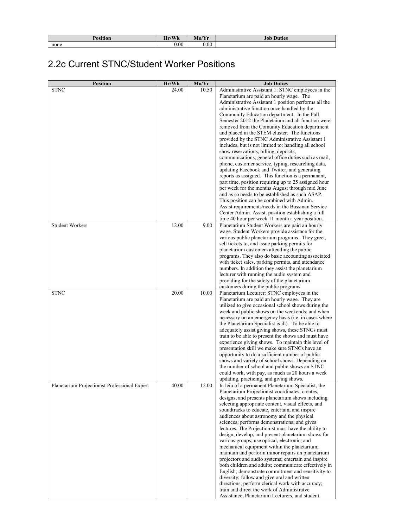| $\bullet$<br>n<br>Position | Hr/Wk     | Mo/Yr | Job<br>Duties |  |  |
|----------------------------|-----------|-------|---------------|--|--|
| none                       | $_{0.00}$ | 0.00  |               |  |  |

## 2.2c Current STNC/Student Worker Positions

| <b>Position</b>                               | Hr/Wk | Mo/Yr | <b>Job Duties</b>                                                                                          |
|-----------------------------------------------|-------|-------|------------------------------------------------------------------------------------------------------------|
| <b>STNC</b>                                   | 24.00 | 10.50 | Administrative Assistant 1: STNC employees in the                                                          |
|                                               |       |       | Planetarium are paid an hourly wage. The                                                                   |
|                                               |       |       | Administrative Assistant 1 position performs all the                                                       |
|                                               |       |       | administrative function once handled by the                                                                |
|                                               |       |       | Community Education department. In the Fall                                                                |
|                                               |       |       | Semester 2012 the Planetaium and all function were                                                         |
|                                               |       |       | removed from the Comunity Education department                                                             |
|                                               |       |       | and placed in the STEM cluster. The functions                                                              |
|                                               |       |       | provided by the STNC Administrative Assistant 1                                                            |
|                                               |       |       | includes, but is not limited to: handling all school<br>show reservations, billing, deposits,              |
|                                               |       |       | communications, general office duties such as mail,                                                        |
|                                               |       |       | phone, customer service, typing, researching data,                                                         |
|                                               |       |       | updating Facebook and Twitter, and generating                                                              |
|                                               |       |       | reports as assigned. This function is a permanant,                                                         |
|                                               |       |       | part time, position requiring up to 25 assigned hour                                                       |
|                                               |       |       | per week for the months August through mid June                                                            |
|                                               |       |       | and as so needs to be established as such ASAP.                                                            |
|                                               |       |       | This position can be combined with Admin.                                                                  |
|                                               |       |       | Assist.requirements/needs in the Bussman Service                                                           |
|                                               |       |       | Center Admin. Assist. position establishing a full                                                         |
|                                               |       |       | time 40 hour per week 11 month a year position                                                             |
| <b>Student Workers</b>                        | 12.00 | 9.00  | Planetarium Student Workers are paid an hourly                                                             |
|                                               |       |       | wage. Student Workers provide assistace for the                                                            |
|                                               |       |       | various public planetarium programs. They greet,                                                           |
|                                               |       |       | sell tickets to, and issue parking permits for<br>planetarium customers attending the public               |
|                                               |       |       | programs. They also do basic accounting associated                                                         |
|                                               |       |       | with ticket sales, parking permits, and attendance                                                         |
|                                               |       |       | numbers. In addition they assist the planetarium                                                           |
|                                               |       |       | lecturer with running the audio system and                                                                 |
|                                               |       |       | providing for the safety of the planetarium                                                                |
|                                               |       |       | customers during the public programs.                                                                      |
| <b>STNC</b>                                   | 20.00 | 10.00 | Planetarium Lecturer: STNC employees in the                                                                |
|                                               |       |       | Planetarium are paid an hourly wage. They are                                                              |
|                                               |       |       | utilized to give occasional school shows during the                                                        |
|                                               |       |       | week and public shows on the weekends; and when                                                            |
|                                               |       |       | necessary on an emergency basis (i.e. in cases where                                                       |
|                                               |       |       | the Planetarium Specialist is ill). To be able to                                                          |
|                                               |       |       | adequately assist giving shows, these STNCs must<br>train to be able to present the shows and must have    |
|                                               |       |       | experience giving shows. To maintain this level of                                                         |
|                                               |       |       | presentation skill we make sure STNCs have an                                                              |
|                                               |       |       | opportunity to do a sufficient number of public                                                            |
|                                               |       |       | shows and variety of school shows. Depending on                                                            |
|                                               |       |       | the number of school and public shows an STNC                                                              |
|                                               |       |       | could work, with pay, as much as 20 hours a week                                                           |
|                                               |       |       | updating, practicing, and giving shows.                                                                    |
| Planetarium Projectionist Professional Expert | 40.00 | 12.00 | In leiu of a permanent Planetarium Specialist, the                                                         |
|                                               |       |       | Planetarium Projectionist coordinates, creates,                                                            |
|                                               |       |       | designs, and presents planetarium shows including                                                          |
|                                               |       |       | selecting appropriate content, visual effects, and                                                         |
|                                               |       |       | soundtracks to educate, entertain, and inspire                                                             |
|                                               |       |       | audiences about astronomy and the physical                                                                 |
|                                               |       |       | sciences; performs demonstrations; and gives                                                               |
|                                               |       |       | lectures. The Projectionist must have the ability to<br>design, develop, and present planetarium shows for |
|                                               |       |       | various groups; use optical, electronic, and                                                               |
|                                               |       |       | mechanical equipment within the planetarium;                                                               |
|                                               |       |       | maintain and perform minor repairs on planetarium                                                          |
|                                               |       |       | projectors and audio systems; entertain and inspire                                                        |
|                                               |       |       | both children and adults; communicate effectively in                                                       |
|                                               |       |       | English; demonstrate commitment and sensitivity to                                                         |
|                                               |       |       | diversity; follow and give oral and written                                                                |
|                                               |       |       | directions; perform clerical work with accuracy;                                                           |
|                                               |       |       | train and direct the work of Administratve                                                                 |
|                                               |       |       | Assistance, Planetarium Lecturers, and student                                                             |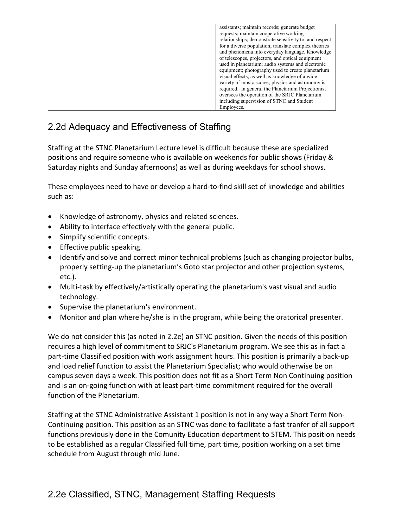| assistants; maintain records; generate budget<br>requests; maintain cooperative working<br>relationships; demonstrate sensitivity to, and respect<br>for a diverse population; translate complex theories<br>and phenomena into everyday language. Knowledge<br>of telescopes, projectors, and optical equipment<br>used in planetarium; audio systems and electronic<br>equipment; photography used to create planetarium<br>visual effects, as well as knowledge of a wide<br>variety of music scores; physics and astronomy is<br>required. In general the Planetarium Projectionist<br>oversees the operation of the SRJC Planetarium |
|-------------------------------------------------------------------------------------------------------------------------------------------------------------------------------------------------------------------------------------------------------------------------------------------------------------------------------------------------------------------------------------------------------------------------------------------------------------------------------------------------------------------------------------------------------------------------------------------------------------------------------------------|
|                                                                                                                                                                                                                                                                                                                                                                                                                                                                                                                                                                                                                                           |
| including supervision of STNC and Student                                                                                                                                                                                                                                                                                                                                                                                                                                                                                                                                                                                                 |
| Employees.                                                                                                                                                                                                                                                                                                                                                                                                                                                                                                                                                                                                                                |

## 2.2d Adequacy and Effectiveness of Staffing

Staffing at the STNC Planetarium Lecture level is difficult because these are specialized positions and require someone who is available on weekends for public shows (Friday & Saturday nights and Sunday afternoons) as well as during weekdays for school shows.

These employees need to have or develop a hard-to-find skill set of knowledge and abilities such as:

- Knowledge of astronomy, physics and related sciences.
- Ability to interface effectively with the general public.
- Simplify scientific concepts.
- Effective public speaking.
- Identify and solve and correct minor technical problems (such as changing projector bulbs, properly setting-up the planetarium's Goto star projector and other projection systems, etc.).
- Multi-task by effectively/artistically operating the planetarium's vast visual and audio technology.
- Supervise the planetarium's environment.
- Monitor and plan where he/she is in the program, while being the oratorical presenter.

We do not consider this (as noted in 2.2e) an STNC position. Given the needs of this position requires a high level of commitment to SRJC's Planetarium program. We see this as in fact a part-time Classified position with work assignment hours. This position is primarily a back-up and load relief function to assist the Planetarium Specialist; who would otherwise be on campus seven days a week. This position does not fit as a Short Term Non Continuing position and is an on-going function with at least part-time commitment required for the overall function of the Planetarium.

Staffing at the STNC Administrative Assistant 1 position is not in any way a Short Term Non-Continuing position. This position as an STNC was done to facilitate a fast tranfer of all support functions previously done in the Comunity Education department to STEM. This position needs to be established as a regular Classified full time, part time, position working on a set time schedule from August through mid June.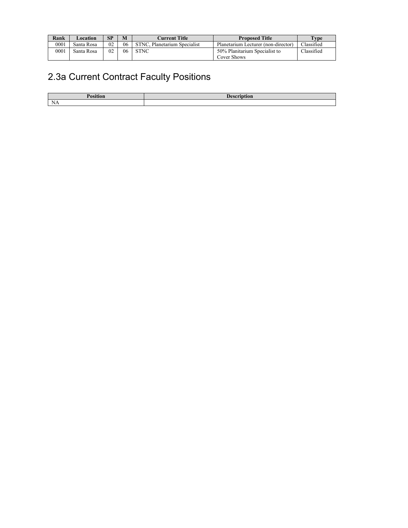| Rank | Location   | SP             | M  | <b>Current Title</b>         | <b>Proposed Title</b>               | $TV$ pe    |
|------|------------|----------------|----|------------------------------|-------------------------------------|------------|
| 0001 | Santa Rosa | 0 <sub>2</sub> | 06 | STNC. Planetarium Specialist | Planetarium Lecturer (non-director) | Classified |
| 0001 | Santa Rosa | 0 <sub>2</sub> | 06 | <b>STNC</b>                  | 50% Planitarium Specialist to       | Classified |
|      |            |                |    |                              | Cover Shows                         |            |

# 2.3a Current Contract Faculty Positions

| NΑ |  |
|----|--|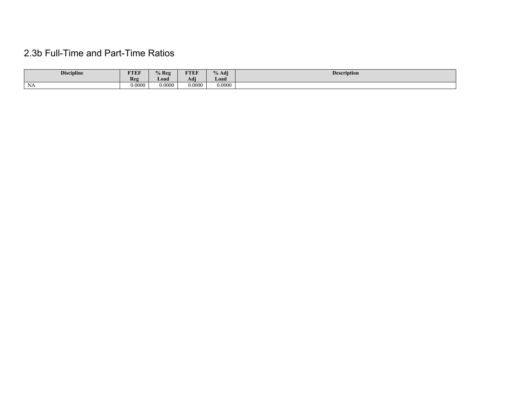## 2.3b Full-Time and Part-Time Ratios

| <b>Discipline</b>    | <b>FTEF</b><br>Reg | $%$ Reg<br>$\Delta$ oad $\Delta$ | <b>FTEF</b><br>.<br>$\rightarrow$<br>Adi | $\mathbf{a}$<br>$\sqrt{0}$ Adj $\sqrt{0}$<br>Load / | <b>Description</b> |
|----------------------|--------------------|----------------------------------|------------------------------------------|-----------------------------------------------------|--------------------|
| $\mathbf{X}$<br>- Na | 0.0000             | 0.0000                           | 0.0000                                   | 0.0000                                              |                    |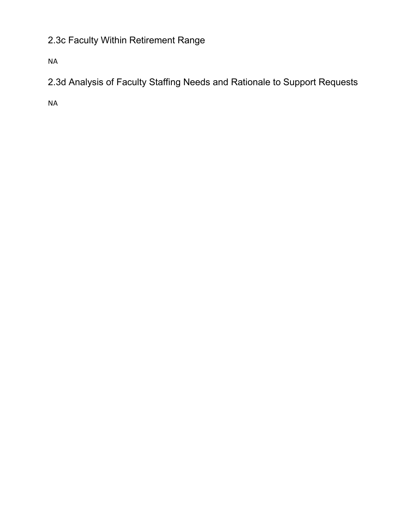# 2.3c Faculty Within Retirement Range

NA

2.3d Analysis of Faculty Staffing Needs and Rationale to Support Requests

NA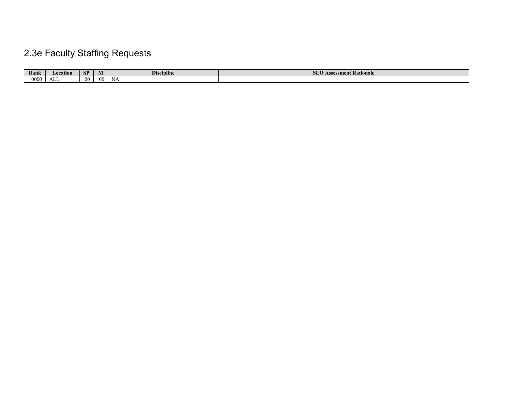# 2.3e Faculty Staffing Requests

| Rank | Location | <b>CD</b><br>n. | IVI | <b>Discipline</b> | Assessment Rationale<br><b>JUV</b> |
|------|----------|-----------------|-----|-------------------|------------------------------------|
| 0000 | .<br>ALL | $00^{\circ}$    | œ   | N£                |                                    |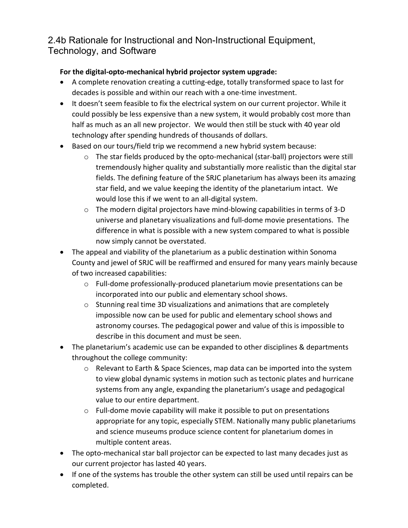### 2.4b Rationale for Instructional and Non-Instructional Equipment, Technology, and Software

#### **For the digital-opto-mechanical hybrid projector system upgrade:**

- A complete renovation creating a cutting-edge, totally transformed space to last for decades is possible and within our reach with a one-time investment.
- It doesn't seem feasible to fix the electrical system on our current projector. While it could possibly be less expensive than a new system, it would probably cost more than half as much as an all new projector. We would then still be stuck with 40 year old technology after spending hundreds of thousands of dollars.
- Based on our tours/field trip we recommend a new hybrid system because:
	- o The star fields produced by the opto-mechanical (star-ball) projectors were still tremendously higher quality and substantially more realistic than the digital star fields. The defining feature of the SRJC planetarium has always been its amazing star field, and we value keeping the identity of the planetarium intact. We would lose this if we went to an all-digital system.
	- $\circ$  The modern digital projectors have mind-blowing capabilities in terms of 3-D universe and planetary visualizations and full-dome movie presentations. The difference in what is possible with a new system compared to what is possible now simply cannot be overstated.
- The appeal and viability of the planetarium as a public destination within Sonoma County and jewel of SRJC will be reaffirmed and ensured for many years mainly because of two increased capabilities:
	- $\circ$  Full-dome professionally-produced planetarium movie presentations can be incorporated into our public and elementary school shows.
	- o Stunning real time 3D visualizations and animations that are completely impossible now can be used for public and elementary school shows and astronomy courses. The pedagogical power and value of this is impossible to describe in this document and must be seen.
- The planetarium's academic use can be expanded to other disciplines & departments throughout the college community:
	- o Relevant to Earth & Space Sciences, map data can be imported into the system to view global dynamic systems in motion such as tectonic plates and hurricane systems from any angle, expanding the planetarium's usage and pedagogical value to our entire department.
	- o Full-dome movie capability will make it possible to put on presentations appropriate for any topic, especially STEM. Nationally many public planetariums and science museums produce science content for planetarium domes in multiple content areas.
- The opto-mechanical star ball projector can be expected to last many decades just as our current projector has lasted 40 years.
- If one of the systems has trouble the other system can still be used until repairs can be completed.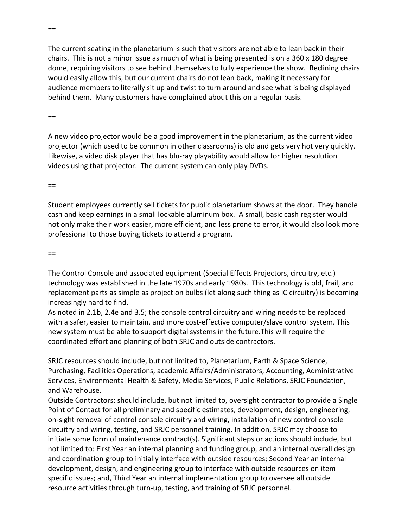The current seating in the planetarium is such that visitors are not able to lean back in their chairs. This is not a minor issue as much of what is being presented is on a 360 x 180 degree dome, requiring visitors to see behind themselves to fully experience the show. Reclining chairs would easily allow this, but our current chairs do not lean back, making it necessary for audience members to literally sit up and twist to turn around and see what is being displayed behind them. Many customers have complained about this on a regular basis.

 $==$ 

A new video projector would be a good improvement in the planetarium, as the current video projector (which used to be common in other classrooms) is old and gets very hot very quickly. Likewise, a video disk player that has blu-ray playability would allow for higher resolution videos using that projector. The current system can only play DVDs.

 $==$ 

Student employees currently sell tickets for public planetarium shows at the door. They handle cash and keep earnings in a small lockable aluminum box. A small, basic cash register would not only make their work easier, more efficient, and less prone to error, it would also look more professional to those buying tickets to attend a program.

 $=$ 

The Control Console and associated equipment (Special Effects Projectors, circuitry, etc.) technology was established in the late 1970s and early 1980s. This technology is old, frail, and replacement parts as simple as projection bulbs (let along such thing as IC circuitry) is becoming increasingly hard to find.

As noted in 2.1b, 2.4e and 3.5; the console control circuitry and wiring needs to be replaced with a safer, easier to maintain, and more cost-effective computer/slave control system. This new system must be able to support digital systems in the future.This will require the coordinated effort and planning of both SRJC and outside contractors.

SRJC resources should include, but not limited to, Planetarium, Earth & Space Science, Purchasing, Facilities Operations, academic Affairs/Administrators, Accounting, Administrative Services, Environmental Health & Safety, Media Services, Public Relations, SRJC Foundation, and Warehouse.

Outside Contractors: should include, but not limited to, oversight contractor to provide a Single Point of Contact for all preliminary and specific estimates, development, design, engineering, on-sight removal of control console circuitry and wiring, installation of new control console circuitry and wiring, testing, and SRJC personnel training. In addition, SRJC may choose to initiate some form of maintenance contract(s). Significant steps or actions should include, but not limited to: First Year an internal planning and funding group, and an internal overall design and coordination group to initially interface with outside resources; Second Year an internal development, design, and engineering group to interface with outside resources on item specific issues; and, Third Year an internal implementation group to oversee all outside resource activities through turn-up, testing, and training of SRJC personnel.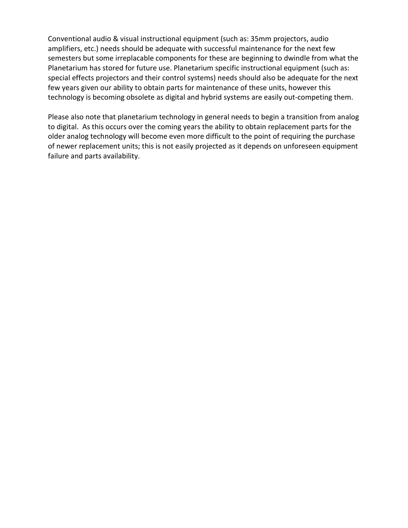Conventional audio & visual instructional equipment (such as: 35mm projectors, audio amplifiers, etc.) needs should be adequate with successful maintenance for the next few semesters but some irreplacable components for these are beginning to dwindle from what the Planetarium has stored for future use. Planetarium specific instructional equipment (such as: special effects projectors and their control systems) needs should also be adequate for the next few years given our ability to obtain parts for maintenance of these units, however this technology is becoming obsolete as digital and hybrid systems are easily out-competing them.

Please also note that planetarium technology in general needs to begin a transition from analog to digital. As this occurs over the coming years the ability to obtain replacement parts for the older analog technology will become even more difficult to the point of requiring the purchase of newer replacement units; this is not easily projected as it depends on unforeseen equipment failure and parts availability.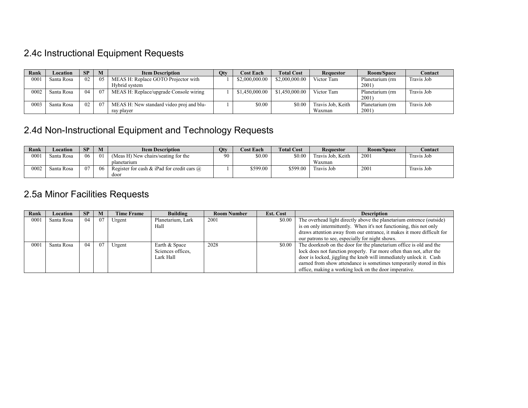# 2.4c Instructional Equipment Requests

| Rank | Location   | <b>SP</b> | M   | <b>Item Description</b>                  | Qty | <b>Cost Each</b> | <b>Total Cost</b> | <b>Requestor</b>  | Room/Space      | Contact    |
|------|------------|-----------|-----|------------------------------------------|-----|------------------|-------------------|-------------------|-----------------|------------|
| 0001 | Santa Rosa | 02        | 05  | MEAS H: Replace GOTO Projector with      |     | \$2,000,000.00   | \$2,000,000.00    | Victor Tam        | Planetarium (rm | Travis Job |
|      |            |           |     | Hybrid system                            |     |                  |                   |                   | 2001)           |            |
| 0002 | Santa Rosa | 04        | -07 | MEAS H: Replace/upgrade Console wiring   |     | \$1,450,000,00   | \$1,450,000.00    | Victor Tam        | Planetarium (rm | Travis Job |
|      |            |           |     |                                          |     |                  |                   |                   | 2001)           |            |
| 0003 | Santa Rosa | 02        | -07 | MEAS H: New standard video proj and blu- |     | \$0.00           | \$0.00            | Travis Job, Keith | Planetarium (rm | Travis Job |
|      |            |           |     | ray player                               |     |                  |                   | Waxman            | 2001)           |            |

## 2.4d Non-Instructional Equipment and Technology Requests

| Rank | Location   | <b>SP</b> | M        | <b>Item Description</b>                           | <b>Qty</b> | <b>Cost Each</b> | <b>Total Cost</b> | <b>Requestor</b>  | <b>Room/Space</b> | Contact    |
|------|------------|-----------|----------|---------------------------------------------------|------------|------------------|-------------------|-------------------|-------------------|------------|
| 0001 | Santa Rosa | 06        | $\Omega$ | (Meas H) New chairs/seating for the               | 90         | \$0.00           | \$0.00            | Travis Job. Keith | 2001              | Travis Job |
|      |            |           |          | planetarium                                       |            |                  |                   | Waxman            |                   |            |
| 0002 | Santa Rosa | 07        | 06       | Register for cash & iPad for credit cars $\omega$ |            | \$599.00         | \$599.00          | Travis Job        | 2001              | Travis Job |
|      |            |           |          | door                                              |            |                  |                   |                   |                   |            |

## 2.5a Minor Facilities Requests

| Rank | Location   | <b>SP</b> | M   | <b>Time Frame</b> | <b>Building</b>   | <b>Room Number</b> | <b>Est. Cost</b> | <b>Description</b>                                                     |
|------|------------|-----------|-----|-------------------|-------------------|--------------------|------------------|------------------------------------------------------------------------|
| 0001 | Santa Rosa | 04        | 07  | Urgent            | Planetarium, Lark | 2001               | \$0.00           | The overhead light directly above the planetarium entrence (outside)   |
|      |            |           |     |                   | Hall              |                    |                  | is on only intermittently. When it's not functioning, this not only    |
|      |            |           |     |                   |                   |                    |                  | draws attention away from our entrance, it makes it more difficult for |
|      |            |           |     |                   |                   |                    |                  | our patrons to see, especially for night shows.                        |
| 0001 | Santa Rosa | 04        | -07 | Urgent            | Earth & Space     | 2028               | \$0.00           | The doorknob on the door for the planetarium office is old and the     |
|      |            |           |     |                   | Sciences offices. |                    |                  | lock does not function properly. Far more often than not, after the    |
|      |            |           |     |                   | Lark Hall         |                    |                  | door is locked, jiggling the knob will immediately unlock it. Cash     |
|      |            |           |     |                   |                   |                    |                  | earned from show attendance is sometimes temporarily stored in this    |
|      |            |           |     |                   |                   |                    |                  | office, making a working lock on the door imperative.                  |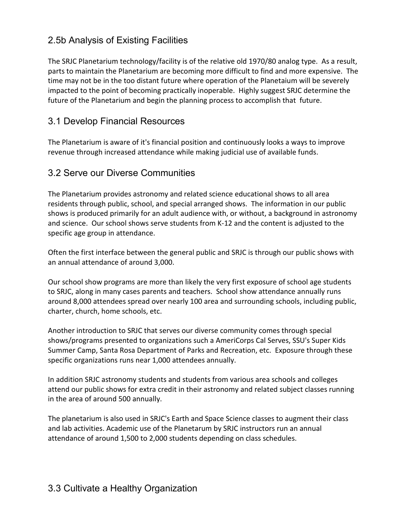## 2.5b Analysis of Existing Facilities

The SRJC Planetarium technology/facility is of the relative old 1970/80 analog type. As a result, parts to maintain the Planetarium are becoming more difficult to find and more expensive. The time may not be in the too distant future where operation of the Planetaium will be severely impacted to the point of becoming practically inoperable. Highly suggest SRJC determine the future of the Planetarium and begin the planning process to accomplish that future.

#### 3.1 Develop Financial Resources

The Planetarium is aware of it's financial position and continuously looks a ways to improve revenue through increased attendance while making judicial use of available funds.

### 3.2 Serve our Diverse Communities

The Planetarium provides astronomy and related science educational shows to all area residents through public, school, and special arranged shows. The information in our public shows is produced primarily for an adult audience with, or without, a background in astronomy and science. Our school shows serve students from K-12 and the content is adjusted to the specific age group in attendance.

Often the first interface between the general public and SRJC is through our public shows with an annual attendance of around 3,000.

Our school show programs are more than likely the very first exposure of school age students to SRJC, along in many cases parents and teachers. School show attendance annually runs around 8,000 attendees spread over nearly 100 area and surrounding schools, including public, charter, church, home schools, etc.

Another introduction to SRJC that serves our diverse community comes through special shows/programs presented to organizations such a AmeriCorps Cal Serves, SSU's Super Kids Summer Camp, Santa Rosa Department of Parks and Recreation, etc. Exposure through these specific organizations runs near 1,000 attendees annually.

In addition SRJC astronomy students and students from various area schools and colleges attend our public shows for extra credit in their astronomy and related subject classes running in the area of around 500 annually.

The planetarium is also used in SRJC's Earth and Space Science classes to augment their class and lab activities. Academic use of the Planetarum by SRJC instructors run an annual attendance of around 1,500 to 2,000 students depending on class schedules.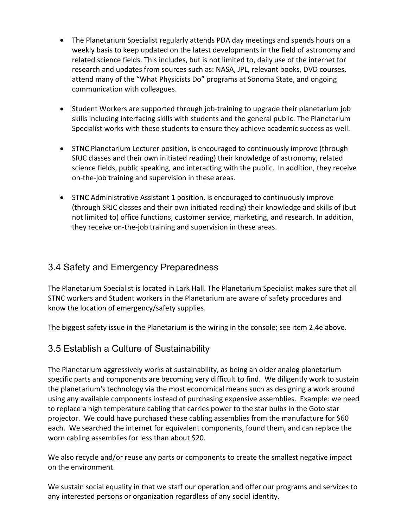- The Planetarium Specialist regularly attends PDA day meetings and spends hours on a weekly basis to keep updated on the latest developments in the field of astronomy and related science fields. This includes, but is not limited to, daily use of the internet for research and updates from sources such as: NASA, JPL, relevant books, DVD courses, attend many of the "What Physicists Do" programs at Sonoma State, and ongoing communication with colleagues.
- Student Workers are supported through job-training to upgrade their planetarium job skills including interfacing skills with students and the general public. The Planetarium Specialist works with these students to ensure they achieve academic success as well.
- STNC Planetarium Lecturer position, is encouraged to continuously improve (through SRJC classes and their own initiated reading) their knowledge of astronomy, related science fields, public speaking, and interacting with the public. In addition, they receive on-the-job training and supervision in these areas.
- STNC Administrative Assistant 1 position, is encouraged to continuously improve (through SRJC classes and their own initiated reading) their knowledge and skills of (but not limited to) office functions, customer service, marketing, and research. In addition, they receive on-the-job training and supervision in these areas.

## 3.4 Safety and Emergency Preparedness

The Planetarium Specialist is located in Lark Hall. The Planetarium Specialist makes sure that all STNC workers and Student workers in the Planetarium are aware of safety procedures and know the location of emergency/safety supplies.

The biggest safety issue in the Planetarium is the wiring in the console; see item 2.4e above.

#### 3.5 Establish a Culture of Sustainability

The Planetarium aggressively works at sustainability, as being an older analog planetarium specific parts and components are becoming very difficult to find. We diligently work to sustain the planetarium's technology via the most economical means such as designing a work around using any available components instead of purchasing expensive assemblies. Example: we need to replace a high temperature cabling that carries power to the star bulbs in the Goto star projector. We could have purchased these cabling assemblies from the manufacture for \$60 each. We searched the internet for equivalent components, found them, and can replace the worn cabling assemblies for less than about \$20.

We also recycle and/or reuse any parts or components to create the smallest negative impact on the environment.

We sustain social equality in that we staff our operation and offer our programs and services to any interested persons or organization regardless of any social identity.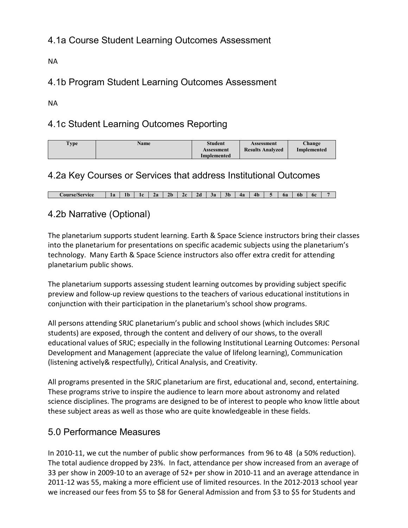## 4.1a Course Student Learning Outcomes Assessment

NA

## 4.1b Program Student Learning Outcomes Assessment

NA

## 4.1c Student Learning Outcomes Reporting

| <b>Type</b> | <b>Name</b> | <b>Student</b><br>Assessment<br>Implemented | Assessment<br><b>Results Analyzed</b> | Change<br>Implemented |
|-------------|-------------|---------------------------------------------|---------------------------------------|-----------------------|
|-------------|-------------|---------------------------------------------|---------------------------------------|-----------------------|

#### 4.2a Key Courses or Services that address Institutional Outcomes

**Course/Service 1a 1b 1c 2a 2b 2c 2d 3a 3b 4a 4b 5 6a 6b 6c 7**

### 4.2b Narrative (Optional)

The planetarium supports student learning. Earth & Space Science instructors bring their classes into the planetarium for presentations on specific academic subjects using the planetarium's technology. Many Earth & Space Science instructors also offer extra credit for attending planetarium public shows.

The planetarium supports assessing student learning outcomes by providing subject specific preview and follow-up review questions to the teachers of various educational institutions in conjunction with their participation in the planetarium's school show programs.

All persons attending SRJC planetarium's public and school shows (which includes SRJC students) are exposed, through the content and delivery of our shows, to the overall educational values of SRJC; especially in the following Institutional Learning Outcomes: Personal Development and Management (appreciate the value of lifelong learning), Communication (listening actively& respectfully), Critical Analysis, and Creativity.

All programs presented in the SRJC planetarium are first, educational and, second, entertaining. These programs strive to inspire the audience to learn more about astronomy and related science disciplines. The programs are designed to be of interest to people who know little about these subject areas as well as those who are quite knowledgeable in these fields.

#### 5.0 Performance Measures

In 2010-11, we cut the number of public show performances from 96 to 48 (a 50% reduction). The total audience dropped by 23%. In fact, attendance per show increased from an average of 33 per show in 2009-10 to an average of 52+ per show in 2010-11 and an average attendance in 2011-12 was 55, making a more efficient use of limited resources. In the 2012-2013 school year we increased our fees from \$5 to \$8 for General Admission and from \$3 to \$5 for Students and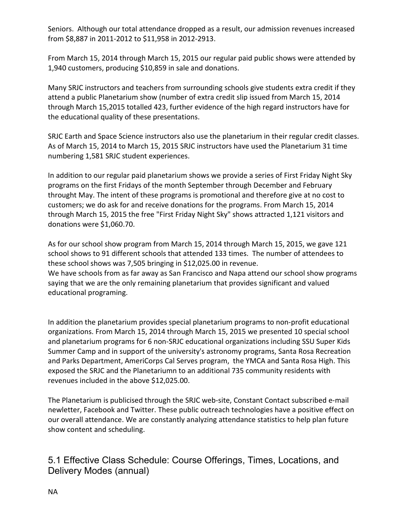Seniors. Although our total attendance dropped as a result, our admission revenues increased from \$8,887 in 2011-2012 to \$11,958 in 2012-2913.

From March 15, 2014 through March 15, 2015 our regular paid public shows were attended by 1,940 customers, producing \$10,859 in sale and donations.

Many SRJC instructors and teachers from surrounding schools give students extra credit if they attend a public Planetarium show (number of extra credit slip issued from March 15, 2014 through March 15,2015 totalled 423, further evidence of the high regard instructors have for the educational quality of these presentations.

SRJC Earth and Space Science instructors also use the planetarium in their regular credit classes. As of March 15, 2014 to March 15, 2015 SRJC instructors have used the Planetarium 31 time numbering 1,581 SRJC student experiences.

In addition to our regular paid planetarium shows we provide a series of First Friday Night Sky programs on the first Fridays of the month September through December and February throught May. The intent of these programs is promotional and therefore give at no cost to customers; we do ask for and receive donations for the programs. From March 15, 2014 through March 15, 2015 the free "First Friday Night Sky" shows attracted 1,121 visitors and donations were \$1,060.70.

As for our school show program from March 15, 2014 through March 15, 2015, we gave 121 school shows to 91 different schools that attended 133 times. The number of attendees to these school shows was 7,505 bringing in \$12,025.00 in revenue. We have schools from as far away as San Francisco and Napa attend our school show programs saying that we are the only remaining planetarium that provides significant and valued educational programing.

In addition the planetarium provides special planetarium programs to non-profit educational organizations. From March 15, 2014 through March 15, 2015 we presented 10 special school and planetarium programs for 6 non-SRJC educational organizations including SSU Super Kids Summer Camp and in support of the university's astronomy programs, Santa Rosa Recreation and Parks Department, AmeriCorps Cal Serves program, the YMCA and Santa Rosa High. This exposed the SRJC and the Planetariumn to an additional 735 community residents with revenues included in the above \$12,025.00.

The Planetarium is publicised through the SRJC web-site, Constant Contact subscribed e-mail newletter, Facebook and Twitter. These public outreach technologies have a positive effect on our overall attendance. We are constantly analyzing attendance statistics to help plan future show content and scheduling.

5.1 Effective Class Schedule: Course Offerings, Times, Locations, and Delivery Modes (annual)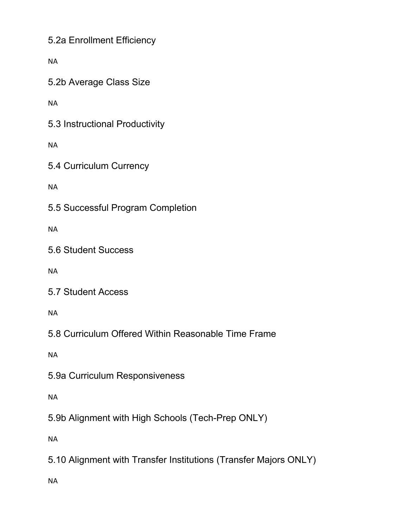5.2a Enrollment Efficiency

NA

5.2b Average Class Size

NA

5.3 Instructional Productivity

NA

5.4 Curriculum Currency

NA

5.5 Successful Program Completion

NA

5.6 Student Success

NA

5.7 Student Access

NA

5.8 Curriculum Offered Within Reasonable Time Frame

NA

5.9a Curriculum Responsiveness

NA

5.9b Alignment with High Schools (Tech-Prep ONLY)

NA

5.10 Alignment with Transfer Institutions (Transfer Majors ONLY)

NA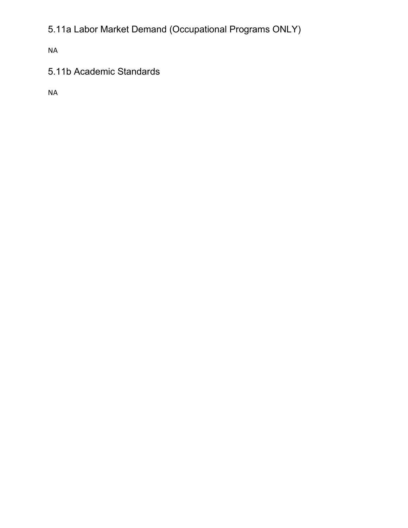5.11a Labor Market Demand (Occupational Programs ONLY)

NA

# 5.11b Academic Standards

NA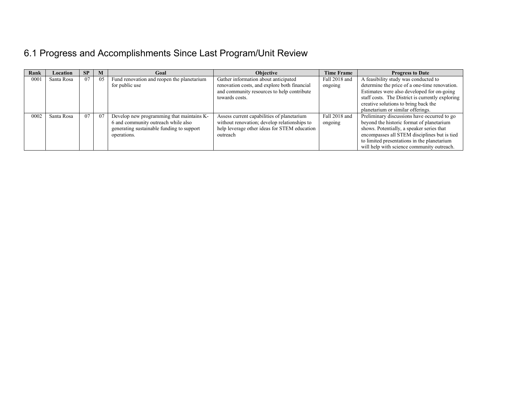# 6.1 Progress and Accomplishments Since Last Program/Unit Review

| Rank | Location   | <b>SP</b> | M  | Goal                                       | <b>Objective</b>                             | <b>Time Frame</b> | <b>Progress to Date</b>                          |
|------|------------|-----------|----|--------------------------------------------|----------------------------------------------|-------------------|--------------------------------------------------|
| 000! | Santa Rosa | 07        | 05 | Fund renovation and reopen the planetarium | Gather information about anticipated         | Fall 2018 and     | A feasibility study was conducted to             |
|      |            |           |    | for public use                             | renovation costs, and explore both financial | ongoing           | determine the price of a one-time renovation.    |
|      |            |           |    |                                            | and community resources to help contribute   |                   | Estimates were also developed for on-going       |
|      |            |           |    |                                            | towards costs.                               |                   | staff costs. The District is currently exploring |
|      |            |           |    |                                            |                                              |                   | creative solutions to bring back the             |
|      |            |           |    |                                            |                                              |                   | planetarium or similar offerings.                |
| 0002 | Santa Rosa | 07        | 07 | Develop new programming that maintains K-  | Assess current capabilities of planetarium   | Fall 2018 and     | Preliminary discussions have occurred to go      |
|      |            |           |    | 6 and community outreach while also        | without renovation; develop relationships to | ongoing           | beyond the historic format of planetarium        |
|      |            |           |    | generating sustainable funding to support  | help leverage other ideas for STEM education |                   | shows. Potentially, a speaker series that        |
|      |            |           |    | operations.                                | outreach                                     |                   | encompasses all STEM disciplines but is tied     |
|      |            |           |    |                                            |                                              |                   | to limited presentations in the planetarium      |
|      |            |           |    |                                            |                                              |                   | will help with science community outreach.       |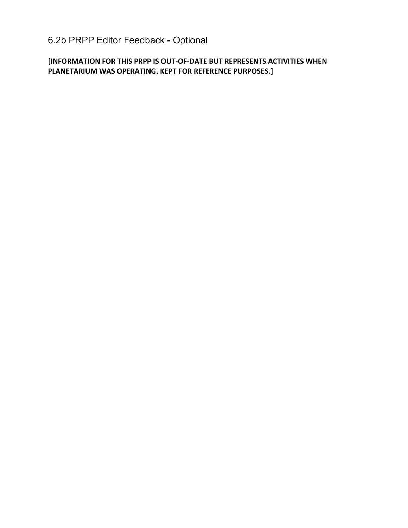# 6.2b PRPP Editor Feedback - Optional

**[INFORMATION FOR THIS PRPP IS OUT-OF-DATE BUT REPRESENTS ACTIVITIES WHEN PLANETARIUM WAS OPERATING. KEPT FOR REFERENCE PURPOSES.]**